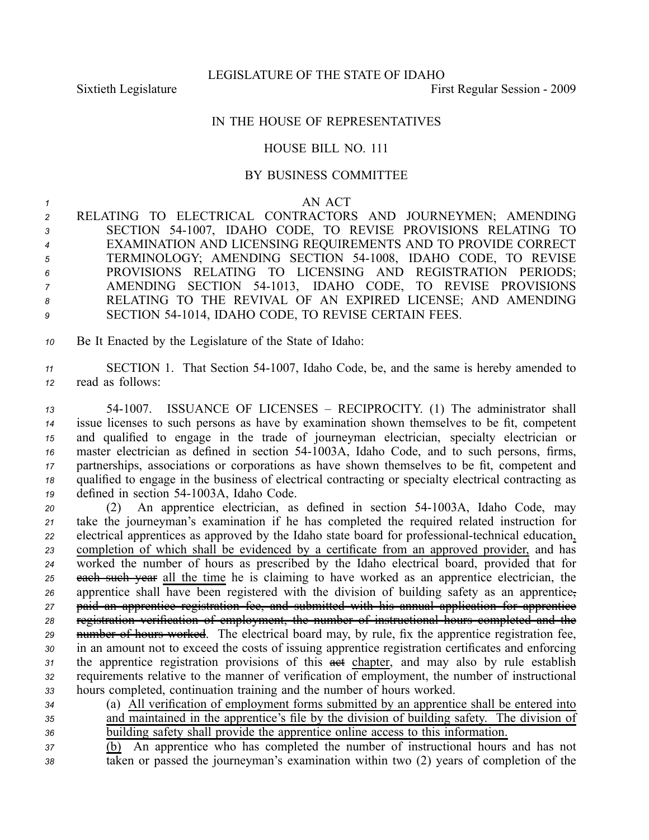## IN THE HOUSE OF REPRESENTATIVES

## HOUSE BILL NO. 111

## BY BUSINESS COMMITTEE

## *<sup>1</sup>* AN ACT

- *<sup>2</sup>* RELATING TO ELECTRICAL CONTRACTORS AND JOURNEYMEN; AMENDING *<sup>3</sup>* SECTION 541007, IDAHO CODE, TO REVISE PROVISIONS RELATING TO *<sup>4</sup>* EXAMINATION AND LICENSING REQUIREMENTS AND TO PROVIDE CORRECT *<sup>5</sup>* TERMINOLOGY; AMENDING SECTION 541008, IDAHO CODE, TO REVISE *<sup>6</sup>* PROVISIONS RELATING TO LICENSING AND REGISTRATION PERIODS; *<sup>7</sup>* AMENDING SECTION 541013, IDAHO CODE, TO REVISE PROVISIONS *<sup>8</sup>* RELATING TO THE REVIVAL OF AN EXPIRED LICENSE; AND AMENDING 9 SECTION 54-1014, IDAHO CODE, TO REVISE CERTAIN FEES.
- *<sup>10</sup>* Be It Enacted by the Legislature of the State of Idaho:
- *<sup>11</sup>* SECTION 1. That Section 541007, Idaho Code, be, and the same is hereby amended to *<sup>12</sup>* read as follows:
- *<sup>13</sup>* 541007. ISSUANCE OF LICENSES RECIPROCITY. (1) The administrator shall *<sup>14</sup>* issue licenses to such persons as have by examination shown themselves to be fit, competent *<sup>15</sup>* and qualified to engage in the trade of journeyman electrician, specialty electrician or <sup>16</sup> master electrician as defined in section 54-1003A, Idaho Code, and to such persons, firms, *<sup>17</sup>* partnerships, associations or corporations as have shown themselves to be fit, competent and *<sup>18</sup>* qualified to engage in the business of electrical contracting or specialty electrical contracting as 19 defined in section 54-1003A. Idaho Code.
- 20 (2) An apprentice electrician, as defined in section 54-1003A, Idaho Code, may *<sup>21</sup>* take the journeyman's examination if he has completed the required related instruction for *22* electrical apprentices as approved by the Idaho state board for professional-technical education, *<sup>23</sup>* completion of which shall be evidenced by <sup>a</sup> certificate from an approved provider, and has *<sup>24</sup>* worked the number of hours as prescribed by the Idaho electrical board, provided that for *<sup>25</sup>* each such year all the time he is claiming to have worked as an apprentice electrician, the *<sup>26</sup>* apprentice shall have been registered with the division of building safety as an apprentice, *<sup>27</sup>* paid an apprentice registration fee, and submitted with his annual application for apprentice *<sup>28</sup>* registration verification of employment, the number of instructional hours completed and the *<sup>29</sup>* number of hours worked. The electrical board may, by rule, fix the apprentice registration fee, *<sup>30</sup>* in an amount not to exceed the costs of issuing apprentice registration certificates and enforcing 31 the apprentice registration provisions of this asset chapter, and may also by rule establish *<sup>32</sup>* requirements relative to the manner of verification of employment, the number of instructional *<sup>33</sup>* hours completed, continuation training and the number of hours worked.
- *<sup>34</sup>* (a) All verification of employment forms submitted by an apprentice shall be entered into *<sup>35</sup>* and maintained in the apprentice's file by the division of building safety. The division of *<sup>36</sup>* building safety shall provide the apprentice online access to this information.
- *<sup>37</sup>* (b) An apprentice who has completed the number of instructional hours and has not *<sup>38</sup>* taken or passed the journeyman's examination within two (2) years of completion of the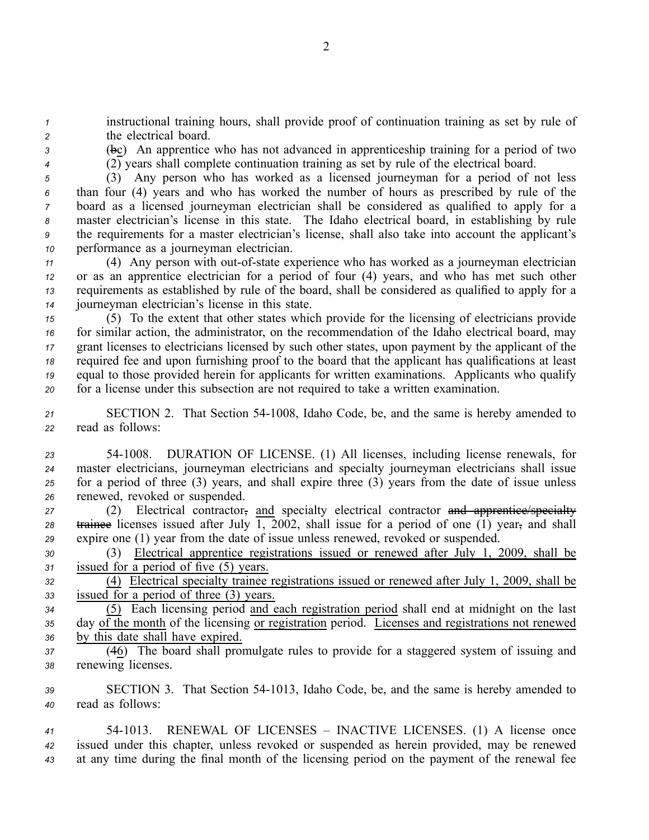*<sup>1</sup>* instructional training hours, shall provide proof of continuation training as set by rule of *<sup>2</sup>* the electrical board.

*<sup>3</sup>* (bc) An apprentice who has not advanced in apprenticeship training for <sup>a</sup> period of two *<sup>4</sup>* (2) years shall complete continuation training as set by rule of the electrical board.

 (3) Any person who has worked as <sup>a</sup> licensed journeyman for <sup>a</sup> period of not less than four (4) years and who has worked the number of hours as prescribed by rule of the board as <sup>a</sup> licensed journeyman electrician shall be considered as qualified to apply for <sup>a</sup> master electrician's license in this state. The Idaho electrical board, in establishing by rule the requirements for <sup>a</sup> master electrician's license, shall also take into account the applicant's

*<sup>10</sup>* performance as <sup>a</sup> journeyman electrician.

 (4) Any person with out-of-state experience who has worked as a journeyman electrician or as an apprentice electrician for <sup>a</sup> period of four (4) years, and who has met such other requirements as established by rule of the board, shall be considered as qualified to apply for <sup>a</sup> journeyman electrician's license in this state.

 (5) To the extent that other states which provide for the licensing of electricians provide for similar action, the administrator, on the recommendation of the Idaho electrical board, may gran<sup>t</sup> licenses to electricians licensed by such other states, upon paymen<sup>t</sup> by the applicant of the required fee and upon furnishing proof to the board that the applicant has qualifications at least equal to those provided herein for applicants for written examinations. Applicants who qualify for <sup>a</sup> license under this subsection are not required to take <sup>a</sup> written examination.

*<sup>21</sup>* SECTION 2. That Section 541008, Idaho Code, be, and the same is hereby amended to *<sup>22</sup>* read as follows:

 541008. DURATION OF LICENSE. (1) All licenses, including license renewals, for master electricians, journeyman electricians and specialty journeyman electricians shall issue for <sup>a</sup> period of three (3) years, and shall expire three (3) years from the date of issue unless renewed, revoked or suspended.

*<sup>27</sup>* (2) Electrical contractor, and specialty electrical contractor and apprentice/specialty *<sup>28</sup>* trainee licenses issued after July 1, 2002, shall issue for <sup>a</sup> period of one (1) year, and shall *<sup>29</sup>* expire one (1) year from the date of issue unless renewed, revoked or suspended.

*<sup>30</sup>* (3) Electrical apprentice registrations issued or renewed after July 1, 2009, shall be *<sup>31</sup>* issued for <sup>a</sup> period of five (5) years.

*<sup>32</sup>* (4) Electrical specialty trainee registrations issued or renewed after July 1, 2009, shall be *<sup>33</sup>* issued for <sup>a</sup> period of three (3) years.

*<sup>34</sup>* (5) Each licensing period and each registration period shall end at midnight on the last *<sup>35</sup>* day of the month of the licensing or registration period. Licenses and registrations not renewed *<sup>36</sup>* by this date shall have expired.

*<sup>37</sup>* (46) The board shall promulgate rules to provide for <sup>a</sup> staggered system of issuing and *<sup>38</sup>* renewing licenses.

*<sup>39</sup>* SECTION 3. That Section 541013, Idaho Code, be, and the same is hereby amended to *<sup>40</sup>* read as follows:

*<sup>41</sup>* 541013. RENEWAL OF LICENSES – INACTIVE LICENSES. (1) A license once *<sup>42</sup>* issued under this chapter, unless revoked or suspended as herein provided, may be renewed *<sup>43</sup>* at any time during the final month of the licensing period on the paymen<sup>t</sup> of the renewal fee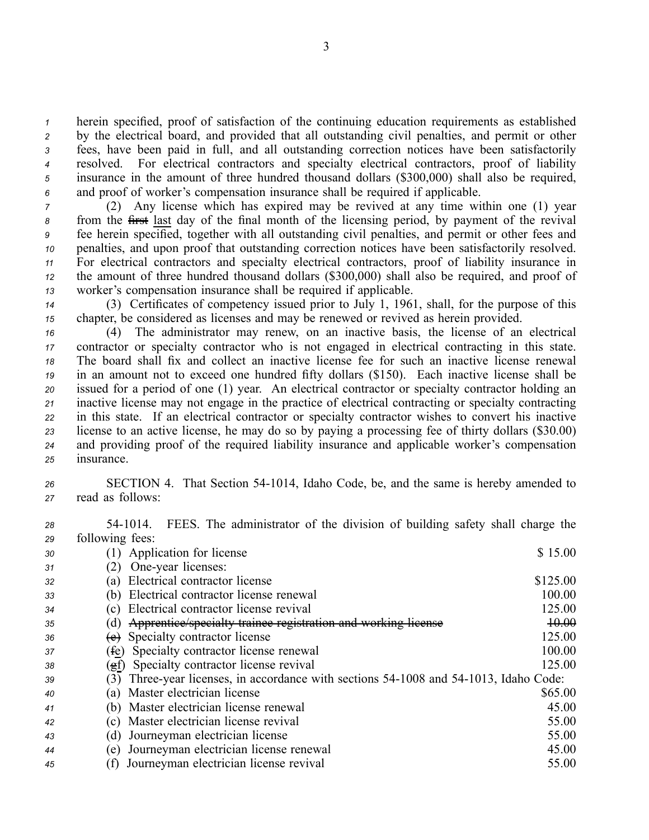herein specified, proof of satisfaction of the continuing education requirements as established by the electrical board, and provided that all outstanding civil penalties, and permit or other fees, have been paid in full, and all outstanding correction notices have been satisfactorily resolved. For electrical contractors and specialty electrical contractors, proof of liability insurance in the amount of three hundred thousand dollars (\$300,000) shall also be required, and proof of worker's compensation insurance shall be required if applicable.

 (2) Any license which has expired may be revived at any time within one (1) year from the first last day of the final month of the licensing period, by paymen<sup>t</sup> of the revival fee herein specified, together with all outstanding civil penalties, and permit or other fees and penalties, and upon proof that outstanding correction notices have been satisfactorily resolved. For electrical contractors and specialty electrical contractors, proof of liability insurance in the amount of three hundred thousand dollars (\$300,000) shall also be required, and proof of worker's compensation insurance shall be required if applicable.

*<sup>14</sup>* (3) Certificates of competency issued prior to July 1, 1961, shall, for the purpose of this *<sup>15</sup>* chapter, be considered as licenses and may be renewed or revived as herein provided.

 (4) The administrator may renew, on an inactive basis, the license of an electrical contractor or specialty contractor who is not engaged in electrical contracting in this state. The board shall fix and collect an inactive license fee for such an inactive license renewal in an amount not to exceed one hundred fifty dollars (\$150). Each inactive license shall be issued for <sup>a</sup> period of one (1) year. An electrical contractor or specialty contractor holding an inactive license may not engage in the practice of electrical contracting or specialty contracting in this state. If an electrical contractor or specialty contractor wishes to convert his inactive license to an active license, he may do so by paying <sup>a</sup> processing fee of thirty dollars (\$30.00) and providing proof of the required liability insurance and applicable worker's compensation insurance.

- 26 SECTION 4. That Section 54-1014, Idaho Code, be, and the same is hereby amended to *<sup>27</sup>* read as follows:
- *<sup>28</sup>* 541014. FEES. The administrator of the division of building safety shall charge the *<sup>29</sup>* following fees:

| 30 | Application for license                                                                  | \$15.00  |
|----|------------------------------------------------------------------------------------------|----------|
| 31 | One-year licenses:<br>(2)                                                                |          |
| 32 | Electrical contractor license<br>(a)                                                     | \$125.00 |
| 33 | Electrical contractor license renewal<br>(b)                                             | 100.00   |
| 34 | Electrical contractor license revival                                                    | 125.00   |
| 35 | Apprentice/specialty trainee registration and working license<br>(d)                     | 10.00    |
| 36 | (e) Specialty contractor license                                                         | 125.00   |
| 37 | Specialty contractor license renewal<br>(fe)                                             | 100.00   |
| 38 | Specialty contractor license revival<br>(fg)                                             | 125.00   |
| 39 | Three-year licenses, in accordance with sections 54-1008 and 54-1013, Idaho Code:<br>(3) |          |
| 40 | Master electrician license<br>(a)                                                        | \$65.00  |
| 41 | (b) Master electrician license renewal                                                   | 45.00    |
| 42 | Master electrician license revival<br>C)                                                 | 55.00    |
| 43 | Journeyman electrician license<br>d)                                                     | 55.00    |
| 44 | Journeyman electrician license renewal<br>(e)                                            | 45.00    |
| 45 | Journeyman electrician license revival                                                   | 55.00    |